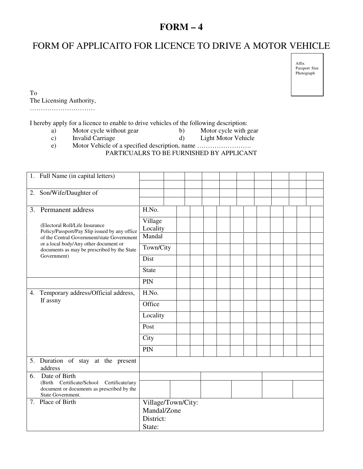## **FORM – 4**

## FORM OF APPLICAITO FOR LICENCE TO DRIVE A MOTOR VEHICLE

Affix Passport Size Photograph

To The Licensing Authority,

…………………………

I hereby apply for a licence to enable to drive vehicles of the following description:<br>a) Motor cycle without gear b) Motor cycle with gear

- a) Motor cycle without gear b)<br>
c) Invalid Carriage d)
- c) Invalid Carriage d) Light Motor Vehicle
- e) Motor Vehicle of a specified description, name …………………….

PARTICUALRS TO BE FURNISHED BY APPLICANT

|    | 1. Full Name (in capital letters)                                                                                                                                                                                                     |                          |  |  |  |  |  |  |  |  |
|----|---------------------------------------------------------------------------------------------------------------------------------------------------------------------------------------------------------------------------------------|--------------------------|--|--|--|--|--|--|--|--|
|    |                                                                                                                                                                                                                                       |                          |  |  |  |  |  |  |  |  |
| 2. | Son/Wife/Daughter of                                                                                                                                                                                                                  |                          |  |  |  |  |  |  |  |  |
|    |                                                                                                                                                                                                                                       |                          |  |  |  |  |  |  |  |  |
|    | 3. Permanent address                                                                                                                                                                                                                  | H.No.                    |  |  |  |  |  |  |  |  |
|    | (Electoral Roll/Life Insurance)<br>Policy/Passport/Pay Slip issued by any office<br>of the Central Government/state Government<br>or a local body/Any other document or<br>documents as may be prescribed by the State<br>Government) | Village<br>Locality      |  |  |  |  |  |  |  |  |
|    |                                                                                                                                                                                                                                       | Mandal                   |  |  |  |  |  |  |  |  |
|    |                                                                                                                                                                                                                                       | Town/City                |  |  |  |  |  |  |  |  |
|    |                                                                                                                                                                                                                                       | Dist                     |  |  |  |  |  |  |  |  |
|    |                                                                                                                                                                                                                                       | <b>State</b>             |  |  |  |  |  |  |  |  |
|    |                                                                                                                                                                                                                                       | PIN                      |  |  |  |  |  |  |  |  |
|    | 4. Temporary address/Official address,<br>If assny                                                                                                                                                                                    | H.No.                    |  |  |  |  |  |  |  |  |
|    |                                                                                                                                                                                                                                       | Office                   |  |  |  |  |  |  |  |  |
|    |                                                                                                                                                                                                                                       | Locality                 |  |  |  |  |  |  |  |  |
|    |                                                                                                                                                                                                                                       | Post                     |  |  |  |  |  |  |  |  |
|    |                                                                                                                                                                                                                                       | City                     |  |  |  |  |  |  |  |  |
|    |                                                                                                                                                                                                                                       | PIN                      |  |  |  |  |  |  |  |  |
|    | 5. Duration of stay at the present<br>address                                                                                                                                                                                         |                          |  |  |  |  |  |  |  |  |
| 6. | Date of Birth                                                                                                                                                                                                                         |                          |  |  |  |  |  |  |  |  |
|    | (Birth Certificate/School Certificate/any<br>document or documents as prescribed by the                                                                                                                                               |                          |  |  |  |  |  |  |  |  |
|    | State Government.<br>7. Place of Birth                                                                                                                                                                                                | Village/Town/City:       |  |  |  |  |  |  |  |  |
|    |                                                                                                                                                                                                                                       | Mandal/Zone<br>District: |  |  |  |  |  |  |  |  |
|    |                                                                                                                                                                                                                                       |                          |  |  |  |  |  |  |  |  |
|    |                                                                                                                                                                                                                                       | State:                   |  |  |  |  |  |  |  |  |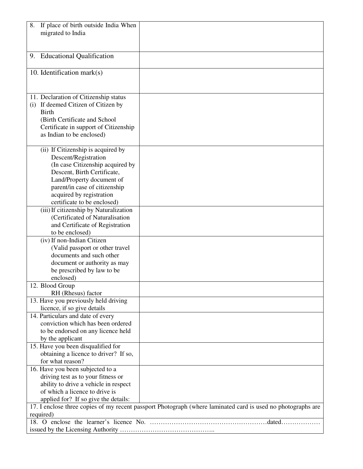| If place of birth outside India When<br>8.                                                                   |  |  |  |  |  |
|--------------------------------------------------------------------------------------------------------------|--|--|--|--|--|
| migrated to India                                                                                            |  |  |  |  |  |
|                                                                                                              |  |  |  |  |  |
|                                                                                                              |  |  |  |  |  |
| 9. Educational Qualification                                                                                 |  |  |  |  |  |
|                                                                                                              |  |  |  |  |  |
| 10. Identification mark $(s)$                                                                                |  |  |  |  |  |
|                                                                                                              |  |  |  |  |  |
|                                                                                                              |  |  |  |  |  |
| 11. Declaration of Citizenship status                                                                        |  |  |  |  |  |
| (i) If deemed Citizen of Citizen by                                                                          |  |  |  |  |  |
| <b>Birth</b>                                                                                                 |  |  |  |  |  |
| (Birth Certificate and School                                                                                |  |  |  |  |  |
| Certificate in support of Citizenship                                                                        |  |  |  |  |  |
| as Indian to be enclosed)                                                                                    |  |  |  |  |  |
| (ii) If Citizenship is acquired by                                                                           |  |  |  |  |  |
| Descent/Registration                                                                                         |  |  |  |  |  |
| (In case Citizenship acquired by                                                                             |  |  |  |  |  |
| Descent, Birth Certificate,                                                                                  |  |  |  |  |  |
| Land/Property document of                                                                                    |  |  |  |  |  |
| parent/in case of citizenship                                                                                |  |  |  |  |  |
| acquired by registration                                                                                     |  |  |  |  |  |
| certificate to be enclosed)                                                                                  |  |  |  |  |  |
| (iii) If citizenship by Naturalization                                                                       |  |  |  |  |  |
| (Certificated of Naturalisation                                                                              |  |  |  |  |  |
| and Certificate of Registration                                                                              |  |  |  |  |  |
| to be enclosed)                                                                                              |  |  |  |  |  |
| (iv) If non-Indian Citizen                                                                                   |  |  |  |  |  |
| (Valid passport or other travel                                                                              |  |  |  |  |  |
| documents and such other                                                                                     |  |  |  |  |  |
| document or authority as may                                                                                 |  |  |  |  |  |
| be prescribed by law to be                                                                                   |  |  |  |  |  |
| enclosed)<br>12. Blood Group                                                                                 |  |  |  |  |  |
| RH (Rhesus) factor                                                                                           |  |  |  |  |  |
| 13. Have you previously held driving                                                                         |  |  |  |  |  |
| licence, if so give details                                                                                  |  |  |  |  |  |
| 14. Particulars and date of every                                                                            |  |  |  |  |  |
| conviction which has been ordered                                                                            |  |  |  |  |  |
| to be endorsed on any licence held                                                                           |  |  |  |  |  |
| by the applicant                                                                                             |  |  |  |  |  |
| 15. Have you been disqualified for                                                                           |  |  |  |  |  |
| obtaining a licence to driver? If so,                                                                        |  |  |  |  |  |
| for what reason?                                                                                             |  |  |  |  |  |
| 16. Have you been subjected to a                                                                             |  |  |  |  |  |
| driving test as to your fitness or                                                                           |  |  |  |  |  |
| ability to drive a vehicle in respect                                                                        |  |  |  |  |  |
| of which a licence to drive is                                                                               |  |  |  |  |  |
| applied for? If so give the details:                                                                         |  |  |  |  |  |
| 17. I enclose three copies of my recent passport Photograph (where laminated card is used no photographs are |  |  |  |  |  |
| required)                                                                                                    |  |  |  |  |  |
|                                                                                                              |  |  |  |  |  |
|                                                                                                              |  |  |  |  |  |